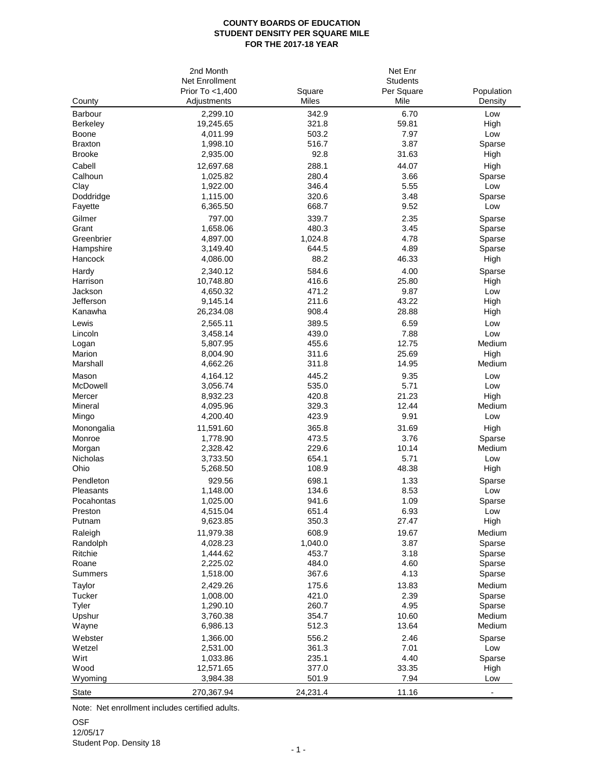## **COUNTY BOARDS OF EDUCATION STUDENT DENSITY PER SQUARE MILE FOR THE 2017-18 YEAR**

|                                 | 2nd Month             |                | Net Enr         |                  |
|---------------------------------|-----------------------|----------------|-----------------|------------------|
|                                 | Net Enrollment        |                | <b>Students</b> |                  |
|                                 | Prior To <1,400       | Square         | Per Square      | Population       |
| County                          | Adjustments           | Miles          | Mile            | Density          |
| Barbour                         | 2,299.10              | 342.9          | 6.70            | Low              |
| Berkeley                        | 19,245.65             | 321.8          | 59.81           | High             |
| Boone                           | 4,011.99              | 503.2          | 7.97            | Low              |
| <b>Braxton</b><br><b>Brooke</b> | 1,998.10              | 516.7<br>92.8  | 3.87<br>31.63   | Sparse           |
|                                 | 2,935.00              |                |                 | High             |
| Cabell<br>Calhoun               | 12,697.68<br>1,025.82 | 288.1<br>280.4 | 44.07<br>3.66   | High             |
|                                 |                       | 346.4          | 5.55            | Sparse<br>Low    |
| Clay<br>Doddridge               | 1,922.00<br>1,115.00  | 320.6          | 3.48            | Sparse           |
| Fayette                         | 6,365.50              | 668.7          | 9.52            | Low              |
| Gilmer                          | 797.00                | 339.7          | 2.35            | Sparse           |
| Grant                           | 1,658.06              | 480.3          | 3.45            | Sparse           |
| Greenbrier                      | 4,897.00              | 1,024.8        | 4.78            | Sparse           |
| Hampshire                       | 3,149.40              | 644.5          | 4.89            | Sparse           |
| Hancock                         | 4,086.00              | 88.2           | 46.33           | High             |
| Hardy                           | 2,340.12              | 584.6          | 4.00            | Sparse           |
| Harrison                        | 10,748.80             | 416.6          | 25.80           | High             |
| Jackson                         | 4,650.32              | 471.2          | 9.87            | Low              |
| Jefferson                       | 9,145.14              | 211.6          | 43.22           | High             |
| Kanawha                         | 26,234.08             | 908.4          | 28.88           | High             |
| Lewis                           | 2,565.11              | 389.5          | 6.59            | Low              |
| Lincoln                         | 3,458.14              | 439.0          | 7.88            | Low              |
| Logan                           | 5,807.95              | 455.6          | 12.75           | Medium           |
| Marion                          | 8,004.90              | 311.6          | 25.69           | High             |
| Marshall                        | 4,662.26              | 311.8          | 14.95           | Medium           |
| Mason                           | 4,164.12              | 445.2          | 9.35            | Low              |
| McDowell                        | 3,056.74              | 535.0          | 5.71            | Low              |
| Mercer                          | 8,932.23              | 420.8          | 21.23           | High             |
| Mineral                         | 4,095.96              | 329.3          | 12.44           | Medium           |
| Mingo                           | 4,200.40              | 423.9          | 9.91            | Low              |
| Monongalia                      | 11,591.60             | 365.8          | 31.69           | High             |
| Monroe                          | 1,778.90              | 473.5<br>229.6 | 3.76            | Sparse<br>Medium |
| Morgan<br>Nicholas              | 2,328.42<br>3,733.50  | 654.1          | 10.14<br>5.71   | Low              |
| Ohio                            | 5,268.50              | 108.9          | 48.38           | High             |
| Pendleton                       | 929.56                | 698.1          | 1.33            | Sparse           |
| Pleasants                       | 1,148.00              | 134.6          | 8.53            | Low              |
| Pocahontas                      | 1,025.00              | 941.6          | 1.09            | Sparse           |
| Preston                         | 4,515.04              | 651.4          | 6.93            | Low              |
| Putnam                          | 9,623.85              | 350.3          | 27.47           | High             |
| Raleigh                         | 11,979.38             | 608.9          | 19.67           | Medium           |
| Randolph                        | 4,028.23              | 1,040.0        | 3.87            | Sparse           |
| Ritchie                         | 1,444.62              | 453.7          | 3.18            | Sparse           |
| Roane                           | 2,225.02              | 484.0          | 4.60            | Sparse           |
| Summers                         | 1,518.00              | 367.6          | 4.13            | Sparse           |
| Taylor                          | 2,429.26              | 175.6          | 13.83           | Medium           |
| Tucker                          | 1,008.00              | 421.0          | 2.39            | Sparse           |
| Tyler                           | 1,290.10              | 260.7          | 4.95            | Sparse           |
| Upshur                          | 3,760.38              | 354.7          | 10.60           | Medium           |
| Wayne                           | 6,986.13              | 512.3          | 13.64           | Medium           |
| Webster                         | 1,366.00              | 556.2          | 2.46            | Sparse           |
| Wetzel                          | 2,531.00              | 361.3          | 7.01            | Low              |
| Wirt                            | 1,033.86              | 235.1          | 4.40            | Sparse           |
| Wood                            | 12,571.65             | 377.0          | 33.35           | High             |
| Wyoming                         | 3,984.38              | 501.9          | 7.94            | Low              |
| <b>State</b>                    | 270,367.94            | 24,231.4       | 11.16           |                  |

Note: Net enrollment includes certified adults.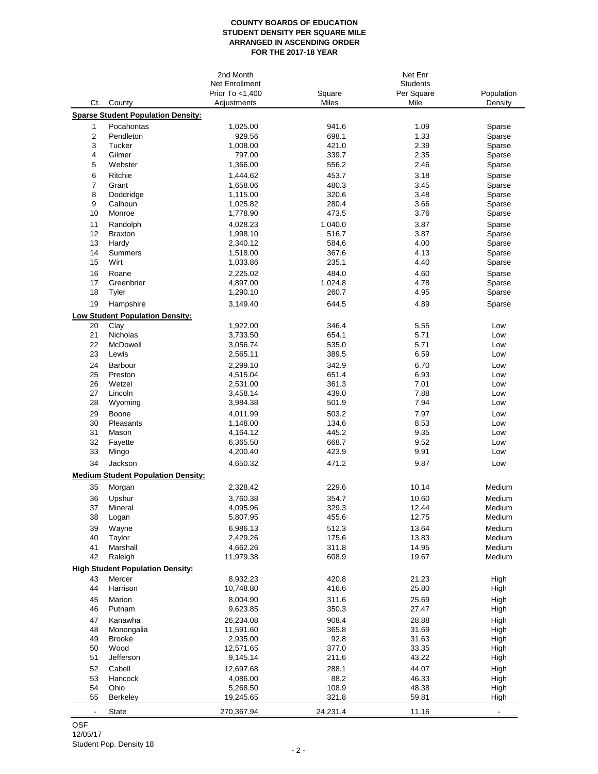## **COUNTY BOARDS OF EDUCATION STUDENT DENSITY PER SQUARE MILE ARRANGED IN ASCENDING ORDER FOR THE 2017-18 YEAR**

|                          |                                           | 2nd Month       |          | Net Enr         |                          |
|--------------------------|-------------------------------------------|-----------------|----------|-----------------|--------------------------|
|                          |                                           | Net Enrollment  |          | <b>Students</b> |                          |
|                          |                                           | Prior To <1,400 | Square   | Per Square      | Population               |
| Ct.                      | County                                    | Adjustments     | Miles    | Mile            | Density                  |
|                          | <b>Sparse Student Population Density:</b> |                 |          |                 |                          |
| 1                        | Pocahontas                                | 1,025.00        | 941.6    | 1.09            | Sparse                   |
| $\overline{\mathbf{c}}$  | Pendleton                                 | 929.56          | 698.1    | 1.33            | Sparse                   |
| 3                        | Tucker                                    | 1,008.00        | 421.0    | 2.39            | Sparse                   |
| 4                        | Gilmer                                    | 797.00          | 339.7    | 2.35            | Sparse                   |
| 5                        | Webster                                   | 1,366.00        | 556.2    | 2.46            | Sparse                   |
| 6                        | Ritchie                                   | 1,444.62        | 453.7    | 3.18            | Sparse                   |
| $\overline{7}$           | Grant                                     | 1,658.06        | 480.3    | 3.45            | Sparse                   |
| 8                        | Doddridge                                 | 1,115.00        | 320.6    | 3.48            | Sparse                   |
| 9                        | Calhoun                                   | 1,025.82        | 280.4    | 3.66            | Sparse                   |
| 10                       | Monroe                                    | 1,778.90        | 473.5    | 3.76            | Sparse                   |
| 11                       | Randolph                                  | 4,028.23        | 1,040.0  | 3.87            | Sparse                   |
| 12                       | <b>Braxton</b>                            | 1,998.10        | 516.7    | 3.87            | Sparse                   |
| 13                       | Hardy                                     | 2,340.12        | 584.6    | 4.00            | Sparse                   |
| 14                       | Summers                                   | 1,518.00        | 367.6    | 4.13            | Sparse                   |
| 15                       | Wirt                                      | 1,033.86        | 235.1    | 4.40            | Sparse                   |
| 16                       | Roane                                     | 2,225.02        | 484.0    | 4.60            | Sparse                   |
| 17                       | Greenbrier                                | 4,897.00        | 1,024.8  | 4.78            | Sparse                   |
| 18                       | Tyler                                     | 1,290.10        | 260.7    | 4.95            | Sparse                   |
|                          |                                           |                 |          |                 |                          |
| 19                       | Hampshire                                 | 3,149.40        | 644.5    | 4.89            | Sparse                   |
|                          | Low Student Population Density:           |                 |          |                 |                          |
| 20                       | Clay                                      | 1,922.00        | 346.4    | 5.55            | Low                      |
| 21                       | Nicholas                                  | 3,733.50        | 654.1    | 5.71            | Low                      |
| 22                       | McDowell                                  | 3,056.74        | 535.0    | 5.71            | Low                      |
| 23                       | Lewis                                     | 2,565.11        | 389.5    | 6.59            | Low                      |
| 24                       | Barbour                                   | 2,299.10        | 342.9    | 6.70            | Low                      |
| 25                       | Preston                                   | 4,515.04        | 651.4    | 6.93            | Low                      |
| 26                       | Wetzel                                    | 2,531.00        | 361.3    | 7.01            | Low                      |
| 27                       | Lincoln                                   | 3,458.14        | 439.0    | 7.88            | Low                      |
| 28                       | Wyoming                                   | 3,984.38        | 501.9    | 7.94            | Low                      |
| 29                       | Boone                                     | 4,011.99        | 503.2    | 7.97            | Low                      |
| 30                       | Pleasants                                 | 1,148.00        | 134.6    | 8.53            | Low                      |
| 31                       | Mason                                     | 4,164.12        | 445.2    | 9.35            | Low                      |
| 32                       | Fayette                                   | 6,365.50        | 668.7    | 9.52            | Low                      |
| 33                       | Mingo                                     | 4,200.40        | 423.9    | 9.91            | Low                      |
| 34                       | Jackson                                   | 4,650.32        | 471.2    | 9.87            | Low                      |
|                          |                                           |                 |          |                 |                          |
|                          | <b>Medium Student Population Density:</b> |                 |          |                 |                          |
| 35                       | Morgan                                    | 2,328.42        | 229.6    | 10.14           | Medium                   |
| 36                       | Upshur                                    | 3,760.38        | 354.7    | 10.60           | Medium                   |
| 37                       | Mineral                                   | 4,095.96        | 329.3    | 12.44           | Medium                   |
| 38                       | Logan                                     | 5,807.95        | 455.6    | 12.75           | Medium                   |
| 39                       | Wayne                                     | 6,986.13        | 512.3    | 13.64           | Medium                   |
| 40                       | Taylor                                    | 2,429.26        | 175.6    | 13.83           | Medium                   |
| 41                       | Marshall                                  | 4,662.26        | 311.8    | 14.95           | Medium                   |
| 42                       | Raleigh                                   | 11,979.38       | 608.9    | 19.67           | Medium                   |
|                          | <b>High Student Population Density:</b>   |                 |          |                 |                          |
| 43                       | Mercer                                    | 8,932.23        | 420.8    | 21.23           | High                     |
| 44                       | Harrison                                  | 10,748.80       | 416.6    | 25.80           | High                     |
|                          |                                           |                 |          |                 |                          |
| 45                       | Marion                                    | 8,004.90        | 311.6    | 25.69           | High                     |
| 46                       | Putnam                                    | 9,623.85        | 350.3    | 27.47           | High                     |
| 47                       | Kanawha                                   | 26,234.08       | 908.4    | 28.88           | High                     |
| 48                       | Monongalia                                | 11,591.60       | 365.8    | 31.69           | High                     |
| 49                       | <b>Brooke</b>                             | 2,935.00        | 92.8     | 31.63           | High                     |
| 50                       | Wood                                      | 12,571.65       | 377.0    | 33.35           | High                     |
| 51                       | Jefferson                                 | 9,145.14        | 211.6    | 43.22           | High                     |
| 52                       | Cabell                                    | 12,697.68       | 288.1    | 44.07           | High                     |
| 53                       | Hancock                                   | 4,086.00        | 88.2     | 46.33           | High                     |
| 54                       | Ohio                                      | 5,268.50        | 108.9    | 48.38           | High                     |
| 55                       | <b>Berkeley</b>                           | 19,245.65       | 321.8    | 59.81           | High                     |
| $\overline{\phantom{a}}$ | State                                     | 270,367.94      | 24,231.4 | 11.16           | $\overline{\phantom{a}}$ |